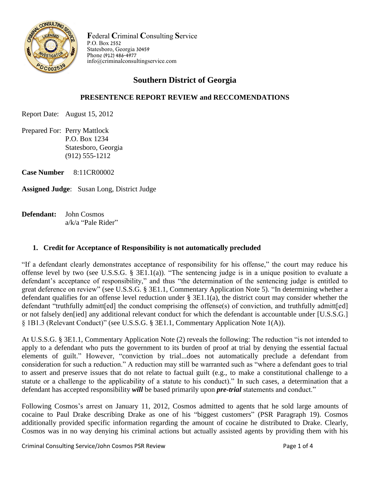

**F**ederal **C**riminal **C**onsulting **S**ervice P.O. Box 2552 Statesboro, Georgia 30459 Phone (912) 486-4977 info@criminalconsultingservice.com

# **Southern District of Georgia**

### **PRESENTENCE REPORT REVIEW and RECCOMENDATIONS**

Report Date: August 15, 2012

Prepared For: Perry Mattlock P.O. Box 1234 Statesboro, Georgia (912) 555-1212

**Case Number** 8:11CR00002

**Assigned Judge**: Susan Long, District Judge

**Defendant:** John Cosmos a/k/a "Pale Rider"

#### **1. Credit for Acceptance of Responsibility is not automatically precluded**

"If a defendant clearly demonstrates acceptance of responsibility for his offense," the court may reduce his offense level by two (see U.S.S.G. § 3E1.1(a)). "The sentencing judge is in a unique position to evaluate a defendant's acceptance of responsibility," and thus "the determination of the sentencing judge is entitled to great deference on review" (see U.S.S.G. § 3E1.1, Commentary Application Note 5). "In determining whether a defendant qualifies for an offense level reduction under § 3E1.1(a), the district court may consider whether the defendant "truthfully admitt[ed] the conduct comprising the offense(s) of conviction, and truthfully admitt[ed] or not falsely den[ied] any additional relevant conduct for which the defendant is accountable under [U.S.S.G.] § 1B1.3 (Relevant Conduct)" (see U.S.S.G. § 3E1.1, Commentary Application Note 1(A)).

At U.S.S.G. § 3E1.1, Commentary Application Note (2) reveals the following: The reduction "is not intended to apply to a defendant who puts the government to its burden of proof at trial by denying the essential factual elements of guilt." However, "conviction by trial...does not automatically preclude a defendant from consideration for such a reduction." A reduction may still be warranted such as "where a defendant goes to trial to assert and preserve issues that do not relate to factual guilt (e.g., to make a constitutional challenge to a statute or a challenge to the applicability of a statute to his conduct)." In such cases, a determination that a defendant has accepted responsibility *will* be based primarily upon *pre-trial* statements and conduct."

Following Cosmos's arrest on January 11, 2012, Cosmos admitted to agents that he sold large amounts of cocaine to Paul Drake describing Drake as one of his "biggest customers" (PSR Paragraph 19). Cosmos additionally provided specific information regarding the amount of cocaine he distributed to Drake. Clearly, Cosmos was in no way denying his criminal actions but actually assisted agents by providing them with his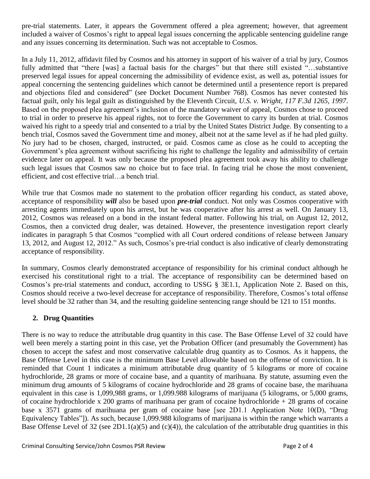pre-trial statements. Later, it appears the Government offered a plea agreement; however, that agreement included a waiver of Cosmos's right to appeal legal issues concerning the applicable sentencing guideline range and any issues concerning its determination. Such was not acceptable to Cosmos.

In a July 11, 2012, affidavit filed by Cosmos and his attorney in support of his waiver of a trial by jury, Cosmos fully admitted that "there [was] a factual basis for the charges" but that there still existed "…substantive preserved legal issues for appeal concerning the admissibility of evidence exist, as well as, potential issues for appeal concerning the sentencing guidelines which cannot be determined until a presentence report is prepared and objections filed and considered" (see Docket Document Number 768). Cosmos has never contested his factual guilt, only his legal guilt as distinguished by the Eleventh Circuit, *U.S. v. Wright, 117 F.3d 1265, 1997*. Based on the proposed plea agreement's inclusion of the mandatory waiver of appeal, Cosmos chose to proceed to trial in order to preserve his appeal rights, not to force the Government to carry its burden at trial. Cosmos waived his right to a speedy trial and consented to a trial by the United States District Judge. By consenting to a bench trial, Cosmos saved the Government time and money, albeit not at the same level as if he had pled guilty. No jury had to be chosen, charged, instructed, or paid. Cosmos came as close as he could to accepting the Government's plea agreement without sacrificing his right to challenge the legality and admissibility of certain evidence later on appeal. It was only because the proposed plea agreement took away his ability to challenge such legal issues that Cosmos saw no choice but to face trial. In facing trial he chose the most convenient, efficient, and cost effective trial…a bench trial.

While true that Cosmos made no statement to the probation officer regarding his conduct, as stated above, acceptance of responsibility *will* also be based upon *pre-trial* conduct. Not only was Cosmos cooperative with arresting agents immediately upon his arrest, but he was cooperative after his arrest as well. On January 13, 2012, Cosmos was released on a bond in the instant federal matter. Following his trial, on August 12, 2012, Cosmos, then a convicted drug dealer, was detained. However, the presentence investigation report clearly indicates in paragraph 5 that Cosmos "complied with all Court ordered conditions of release between January 13, 2012, and August 12, 2012." As such, Cosmos's pre-trial conduct is also indicative of clearly demonstrating acceptance of responsibility.

In summary, Cosmos clearly demonstrated acceptance of responsibility for his criminal conduct although he exercised his constitutional right to a trial. The acceptance of responsibility can be determined based on Cosmos's pre-trial statements and conduct, according to USSG § 3E1.1, Application Note 2. Based on this, Cosmos should receive a two-level decrease for acceptance of responsibility. Therefore, Cosmos's total offense level should be 32 rather than 34, and the resulting guideline sentencing range should be 121 to 151 months.

## **2. Drug Quantities**

There is no way to reduce the attributable drug quantity in this case. The Base Offense Level of 32 could have well been merely a starting point in this case, yet the Probation Officer (and presumably the Government) has chosen to accept the safest and most conservative calculable drug quantity as to Cosmos. As it happens, the Base Offense Level in this case is the minimum Base Level allowable based on the offense of conviction. It is reminded that Count 1 indicates a minimum attributable drug quantity of 5 kilograms or more of cocaine hydrochloride, 28 grams or more of cocaine base, and a quantity of marihuana. By statute, assuming even the minimum drug amounts of 5 kilograms of cocaine hydrochloride and 28 grams of cocaine base, the marihuana equivalent in this case is 1,099,988 grams, or 1,099.988 kilograms of marijuana (5 kilograms, or 5,000 grams, of cocaine hydrochloride x 200 grams of marihuana per gram of cocaine hydrochloride + 28 grams of cocaine base x 3571 grams of marihuana per gram of cocaine base [see 2D1.1 Application Note 10(D), "Drug Equivalency Tables"]). As such, because 1,099.988 kilograms of marijuana is within the range which warrants a Base Offense Level of 32 (see 2D1.1(a)(5) and (c)(4)), the calculation of the attributable drug quantities in this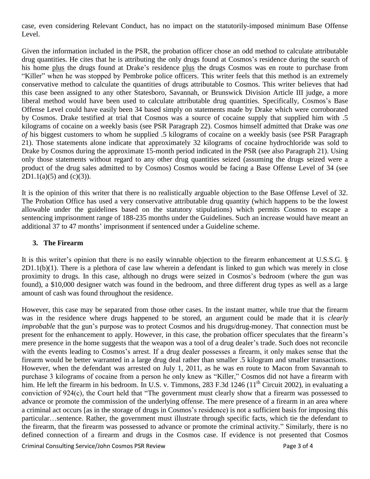case, even considering Relevant Conduct, has no impact on the statutorily-imposed minimum Base Offense Level.

Given the information included in the PSR, the probation officer chose an odd method to calculate attributable drug quantities. He cites that he is attributing the only drugs found at Cosmos's residence during the search of his home plus the drugs found at Drake's residence plus the drugs Cosmos was en route to purchase from "Killer" when he was stopped by Pembroke police officers. This writer feels that this method is an extremely conservative method to calculate the quantities of drugs attributable to Cosmos. This writer believes that had this case been assigned to any other Statesboro, Savannah, or Brunswick Division Article III judge, a more liberal method would have been used to calculate attributable drug quantities. Specifically, Cosmos's Base Offense Level could have easily been 34 based simply on statements made by Drake which were corroborated by Cosmos. Drake testified at trial that Cosmos was a source of cocaine supply that supplied him with .5 kilograms of cocaine on a weekly basis (see PSR Paragraph 22). Cosmos himself admitted that Drake was *one of* his biggest customers to whom he supplied .5 kilograms of cocaine on a weekly basis (see PSR Paragraph 21). Those statements alone indicate that approximately 32 kilograms of cocaine hydrochloride was sold to Drake by Cosmos during the approximate 15-month period indicated in the PSR (see also Paragraph 21). Using only those statements without regard to any other drug quantities seized (assuming the drugs seized were a product of the drug sales admitted to by Cosmos) Cosmos would be facing a Base Offense Level of 34 (see  $2D1.1(a)(5)$  and  $(c)(3)$ ).

It is the opinion of this writer that there is no realistically arguable objection to the Base Offense Level of 32. The Probation Office has used a very conservative attributable drug quantity (which happens to be the lowest allowable under the guidelines based on the statutory stipulations) which permits Cosmos to escape a sentencing imprisonment range of 188-235 months under the Guidelines. Such an increase would have meant an additional 37 to 47 months' imprisonment if sentenced under a Guideline scheme.

#### **3. The Firearm**

It is this writer's opinion that there is no easily winnable objection to the firearm enhancement at U.S.S.G. § 2D1.1(b)(1). There is a plethora of case law wherein a defendant is linked to gun which was merely in close proximity to drugs. In this case, although no drugs were seized in Cosmos's bedroom (where the gun was found), a \$10,000 designer watch was found in the bedroom, and three different drug types as well as a large amount of cash was found throughout the residence.

Criminal Consulting Service/John Cosmos PSR Review **Page 3 of 4** However, this case may be separated from those other cases. In the instant matter, while true that the firearm was in the residence where drugs happened to be stored, an argument could be made that it is *clearly improbable* that the gun's purpose was to protect Cosmos and his drugs/drug-money. That connection must be present for the enhancement to apply. However, in this case, the probation officer speculates that the firearm's mere presence in the home suggests that the weapon was a tool of a drug dealer's trade. Such does not reconcile with the events leading to Cosmos's arrest. If a drug dealer possesses a firearm, it only makes sense that the firearm would be better warranted in a large drug deal rather than smaller .5 kilogram and smaller transactions. However, when the defendant was arrested on July 1, 2011, as he was en route to Macon from Savannah to purchase 3 kilograms of cocaine from a person he only knew as "Killer," Cosmos did not have a firearm with him. He left the firearm in his bedroom. In U.S. v. Timmons, 283 F.3d  $1246 (11<sup>th</sup> Circuit 2002)$ , in evaluating a conviction of 924(c), the Court held that "The government must clearly show that a firearm was possessed to advance or promote the commission of the underlying offense. The mere presence of a firearm in an area where a criminal act occurs [as in the storage of drugs in Cosmos's residence) is not a sufficient basis for imposing this particular…sentence. Rather, the government must illustrate through specific facts, which tie the defendant to the firearm, that the firearm was possessed to advance or promote the criminal activity." Similarly, there is no defined connection of a firearm and drugs in the Cosmos case. If evidence is not presented that Cosmos